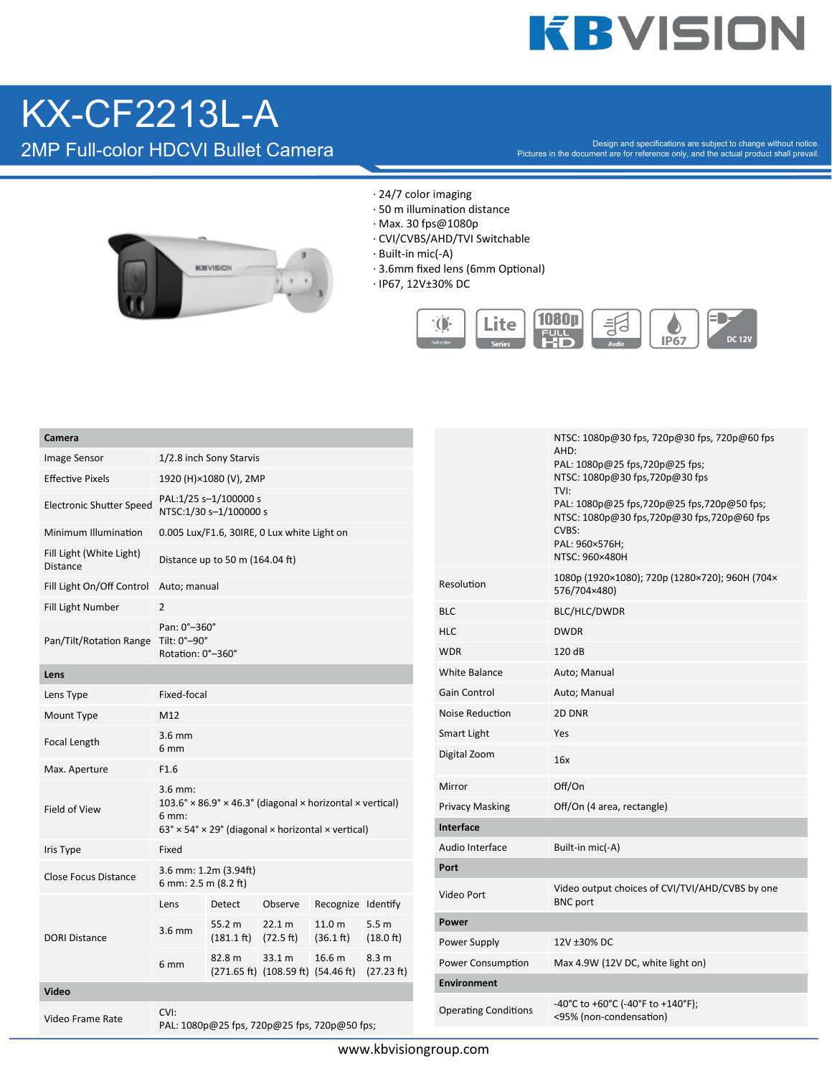# **KBVISION**

### KX-CF2213L-A

Camera

2MP Full-color HDCVI Bullet Camera

Design and specifications are subject to change without notice. Pictures in the document are for reference only, and the actual product shall prevail.



- · 24/7 color imaging
- $\cdot$  50 m illumination distance
- · Max. 30 fps@1080p
- · CVI/CVBS/AHD/TVI Switchable
- · Built-in mic(-A)
- · 3.6mm fixed lens (6mm Optional)
- 
- · IP67, 12V±30% DC



| Camera                                      |                                                                                                                 |                                          |                                                                                                 |                     |                     |                      |                                                 | NTSC: 1080p@30 fps, 720p@30 fps, 720p@60 fps                                                     |  |
|---------------------------------------------|-----------------------------------------------------------------------------------------------------------------|------------------------------------------|-------------------------------------------------------------------------------------------------|---------------------|---------------------|----------------------|-------------------------------------------------|--------------------------------------------------------------------------------------------------|--|
| Image Sensor                                | 1/2.8 inch Sony Starvis                                                                                         |                                          |                                                                                                 |                     |                     |                      |                                                 | AHD:<br>PAL: 1080p@25 fps,720p@25 fps;                                                           |  |
| <b>Effective Pixels</b>                     | 1920 (H)×1080 (V), 2MP                                                                                          |                                          |                                                                                                 |                     |                     |                      | NTSC: 1080p@30 fps,720p@30 fps                  |                                                                                                  |  |
| <b>Electronic Shutter Speed</b>             | PAL:1/25 s-1/100000 s<br>NTSC:1/30 s-1/100000 s                                                                 |                                          |                                                                                                 |                     |                     |                      |                                                 | TVI:<br>PAL: 1080p@25 fps,720p@25 fps,720p@50 fps;<br>NTSC: 1080p@30 fps,720p@30 fps,720p@60 fps |  |
| Minimum Illumination                        | 0.005 Lux/F1.6, 30IRE, 0 Lux white Light on                                                                     |                                          |                                                                                                 |                     |                     |                      |                                                 | CVBS:                                                                                            |  |
| Fill Light (White Light)<br><b>Distance</b> | Distance up to 50 m (164.04 ft)                                                                                 |                                          |                                                                                                 |                     |                     |                      |                                                 | PAL: 960×576H;<br>NTSC: 960×480H                                                                 |  |
| Fill Light On/Off Control                   | Auto; manual                                                                                                    |                                          |                                                                                                 |                     |                     |                      | Resolution                                      | 1080p (1920×1080); 720p (1280×720); 960H (704×<br>576/704×480)                                   |  |
| Fill Light Number                           | $\overline{2}$                                                                                                  |                                          |                                                                                                 |                     |                     |                      | <b>BLC</b>                                      | BLC/HLC/DWDR                                                                                     |  |
|                                             | Pan: 0°-360°                                                                                                    |                                          |                                                                                                 |                     |                     |                      | <b>HLC</b>                                      | <b>DWDR</b>                                                                                      |  |
| Pan/Tilt/Rotation Range                     | Tilt: 0°–90°<br>Rotation: 0°-360°                                                                               |                                          |                                                                                                 |                     |                     |                      | <b>WDR</b>                                      | 120 dB                                                                                           |  |
| Lens                                        |                                                                                                                 |                                          |                                                                                                 |                     |                     | <b>White Balance</b> | Auto; Manual                                    |                                                                                                  |  |
| Lens Type                                   | Fixed-focal                                                                                                     |                                          |                                                                                                 |                     |                     |                      | Gain Control                                    | Auto; Manual                                                                                     |  |
| Mount Type                                  | M12                                                                                                             |                                          |                                                                                                 |                     |                     |                      | Noise Reduction                                 | 2D DNR                                                                                           |  |
| Focal Length                                | $3.6$ mm                                                                                                        |                                          |                                                                                                 |                     |                     |                      | Smart Light                                     | Yes                                                                                              |  |
|                                             | 6 mm                                                                                                            |                                          |                                                                                                 |                     |                     |                      | Digital Zoom                                    | 16x                                                                                              |  |
| Max. Aperture                               | F1.6                                                                                                            |                                          |                                                                                                 |                     |                     |                      | Mirror                                          | Off/On                                                                                           |  |
| Field of View                               | $3.6$ mm:<br>$103.6^\circ \times 86.9^\circ \times 46.3^\circ$ (diagonal $\times$ horizontal $\times$ vertical) |                                          |                                                                                                 |                     |                     |                      | <b>Privacy Masking</b>                          | Off/On (4 area, rectangle)                                                                       |  |
|                                             | 6 mm:                                                                                                           |                                          |                                                                                                 |                     |                     |                      | Interface                                       |                                                                                                  |  |
|                                             | $63^\circ \times 54^\circ \times 29^\circ$ (diagonal $\times$ horizontal $\times$ vertical)                     |                                          |                                                                                                 |                     |                     |                      | Audio Interface                                 | Built-in mic(-A)                                                                                 |  |
| Iris Type                                   | Fixed                                                                                                           |                                          |                                                                                                 |                     |                     |                      | Port                                            |                                                                                                  |  |
| <b>Close Focus Distance</b>                 | 3.6 mm: 1.2m (3.94ft)<br>6 mm: 2.5 m (8.2 ft)                                                                   |                                          |                                                                                                 |                     |                     |                      | Video output choices of CVI/TVI/AHD/CVBS by one |                                                                                                  |  |
|                                             | Lens                                                                                                            | Detect                                   | Observe                                                                                         | Recognize Identify  |                     |                      | Video Port                                      | <b>BNC</b> port                                                                                  |  |
| <b>DORI Distance</b>                        | 3.6 mm                                                                                                          | 55.2 m                                   | 22.1 m                                                                                          | 11.0 <sub>m</sub>   | 5.5 <sub>m</sub>    |                      | Power                                           |                                                                                                  |  |
|                                             |                                                                                                                 | $(181.1 \text{ ft})$ $(72.5 \text{ ft})$ |                                                                                                 | $(36.1 \text{ ft})$ | $(18.0 \text{ ft})$ |                      | Power Supply                                    | 12V ±30% DC                                                                                      |  |
|                                             | 6 mm                                                                                                            | 82.8 m                                   | 33.1 m<br>$(271.65 \text{ ft})$ $(108.59 \text{ ft})$ $(54.46 \text{ ft})$ $(27.23 \text{ ft})$ | 16.6 <sub>m</sub>   | 8.3 <sub>m</sub>    |                      | Power Consumption                               | Max 4.9W (12V DC, white light on)                                                                |  |
| Video                                       |                                                                                                                 |                                          |                                                                                                 |                     |                     |                      | <b>Environment</b>                              |                                                                                                  |  |
| Video Frame Rate                            | CVI:<br>PAL: 1080p@25 fps, 720p@25 fps, 720p@50 fps;                                                            |                                          |                                                                                                 |                     |                     |                      | <b>Operating Conditions</b>                     | -40°C to +60°C (-40°F to +140°F);<br><95% (non-condensation)                                     |  |